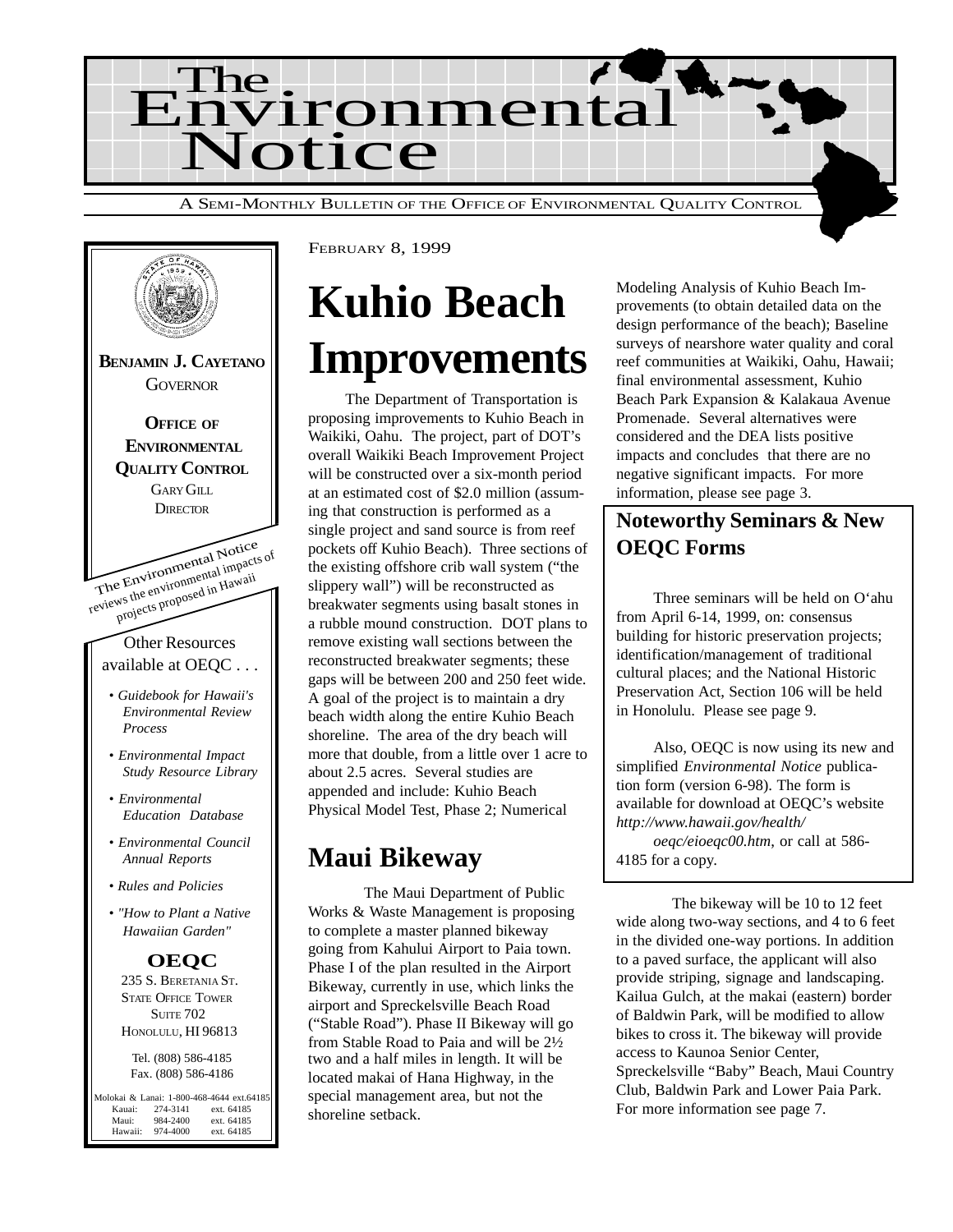



# **Kuhio Beach Improvements**

The Department of Transportation is proposing improvements to Kuhio Beach in Waikiki, Oahu. The project, part of DOT's overall Waikiki Beach Improvement Project will be constructed over a six-month period at an estimated cost of \$2.0 million (assuming that construction is performed as a single project and sand source is from reef pockets off Kuhio Beach). Three sections of the existing offshore crib wall system ("the slippery wall") will be reconstructed as breakwater segments using basalt stones in a rubble mound construction. DOT plans to remove existing wall sections between the reconstructed breakwater segments; these gaps will be between 200 and 250 feet wide. A goal of the project is to maintain a dry beach width along the entire Kuhio Beach shoreline. The area of the dry beach will more that double, from a little over 1 acre to about 2.5 acres. Several studies are appended and include: Kuhio Beach Physical Model Test, Phase 2; Numerical

## **Maui Bikeway**

The Maui Department of Public Works & Waste Management is proposing to complete a master planned bikeway going from Kahului Airport to Paia town. Phase I of the plan resulted in the Airport Bikeway, currently in use, which links the airport and Spreckelsville Beach Road ("Stable Road"). Phase II Bikeway will go from Stable Road to Paia and will be 2½ two and a half miles in length. It will be located makai of Hana Highway, in the special management area, but not the shoreline setback.

Modeling Analysis of Kuhio Beach Improvements (to obtain detailed data on the design performance of the beach); Baseline surveys of nearshore water quality and coral reef communities at Waikiki, Oahu, Hawaii; final environmental assessment, Kuhio Beach Park Expansion & Kalakaua Avenue Promenade. Several alternatives were considered and the DEA lists positive impacts and concludes that there are no negative significant impacts. For more information, please see page 3.

## **Noteworthy Seminars & New OEQC Forms**

Three seminars will be held on O'ahu from April 6-14, 1999, on: consensus building for historic preservation projects; identification/management of traditional cultural places; and the National Historic Preservation Act, Section 106 will be held in Honolulu. Please see page 9.

Also, OEQC is now using its new and simplified *Environmental Notice* publication form (version 6-98). The form is available for download at OEQC's website *http://www.hawaii.gov/health/*

*oeqc/eioeqc00.htm*, or call at 586- 4185 for a copy.

The bikeway will be 10 to 12 feet wide along two-way sections, and 4 to 6 feet in the divided one-way portions. In addition to a paved surface, the applicant will also provide striping, signage and landscaping. Kailua Gulch, at the makai (eastern) border of Baldwin Park, will be modified to allow bikes to cross it. The bikeway will provide access to Kaunoa Senior Center, Spreckelsville "Baby" Beach, Maui Country Club, Baldwin Park and Lower Paia Park. For more information see page 7.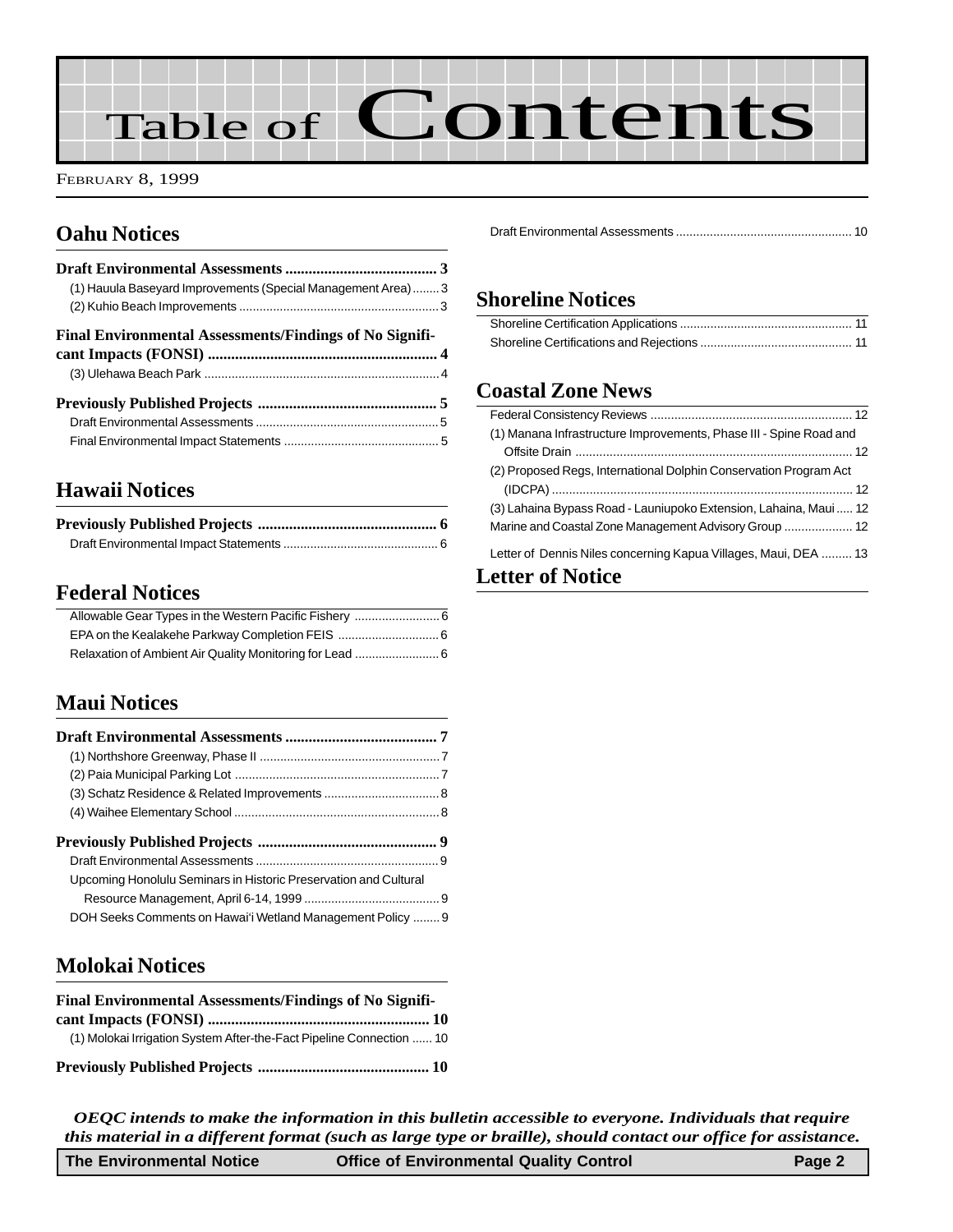# Table of Contents

FEBRUARY 8, 1999

## **Oahu Notices**

| (1) Hauula Baseyard Improvements (Special Management Area)3    |  |
|----------------------------------------------------------------|--|
|                                                                |  |
| <b>Final Environmental Assessments/Findings of No Signifi-</b> |  |
|                                                                |  |
|                                                                |  |
|                                                                |  |
|                                                                |  |
|                                                                |  |

## **[Hawaii Notices](#page-6-0)**

## **Federal Notices**

## **Maui Notices**

| Upcoming Honolulu Seminars in Historic Preservation and Cultural |  |
|------------------------------------------------------------------|--|
|                                                                  |  |

## **Molokai Notices**

| Final Environmental Assessments/Findings of No Signifi-              |  |
|----------------------------------------------------------------------|--|
|                                                                      |  |
| (1) Molokai Irrigation System After-the-Fact Pipeline Connection  10 |  |
|                                                                      |  |

[Draft Environmental Assessments .................................................... 10](#page-10-0)

## **Shoreline Notices**

## **Coastal Zone News**

| (1) Manana Infrastructure Improvements, Phase III - Spine Road and |
|--------------------------------------------------------------------|
|                                                                    |
| (2) Proposed Regs, International Dolphin Conservation Program Act  |
|                                                                    |
| (3) Lahaina Bypass Road - Launiupoko Extension, Lahaina, Maui 12   |
| Marine and Coastal Zone Management Advisory Group  12              |
| Letter of Dennis Niles concerning Kapua Villages, Maui, DEA  13    |
| $\sim$ 4400 $\sim$ $\sim$ N $\sim$ 4200                            |

## **Letter of Notice**

*OEQC intends to make the information in this bulletin accessible to everyone. Individuals that require this material in a different format (such as large type or braille), should contact our office for assistance.*

| <b>Office of Environmental Quality Control</b><br>Page 2<br>The Environmental Notice |
|--------------------------------------------------------------------------------------|
|--------------------------------------------------------------------------------------|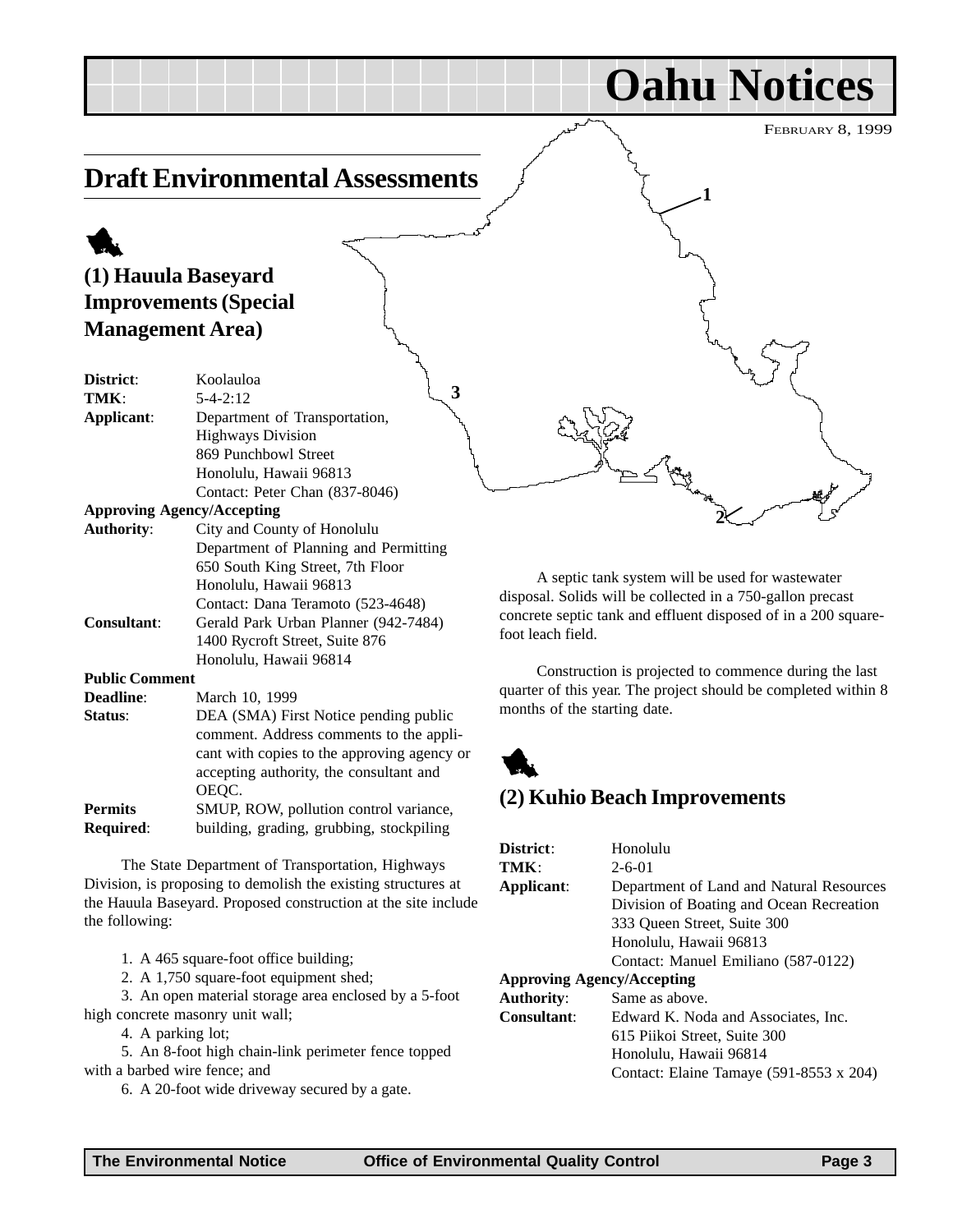## FEBRUARY 8, 1999 **Oahu Notices Draft Environmental Assessments** 1 **(1) Hauula Baseyard Improvements (Special Management Area) District**: Koolauloa **TMK**: 5-4-2:12 **Applicant**: Department of Transportation, Highways Division 869 Punchbowl Street Honolulu, Hawaii 96813 Contact: Peter Chan (837-8046) **Approving Agency/Accepting Authority**: City and County of Honolulu Department of Planning and Permitting 650 South King Street, 7th Floor **1 2 3**

A septic tank system will be used for wastewater disposal. Solids will be collected in a 750-gallon precast concrete septic tank and effluent disposed of in a 200 squarefoot leach field.

Construction is projected to commence during the last quarter of this year. The project should be completed within 8 months of the starting date.



## **(2) Kuhio Beach Improvements**

| District:                         | Honolulu                                       |
|-----------------------------------|------------------------------------------------|
| TMK:                              | $2 - 6 - 01$                                   |
| Applicant:                        | Department of Land and Natural Resources       |
|                                   | Division of Boating and Ocean Recreation       |
|                                   | 333 Oueen Street, Suite 300                    |
|                                   | Honolulu, Hawaii 96813                         |
|                                   | Contact: Manuel Emiliano (587-0122)            |
| <b>Approving Agency/Accepting</b> |                                                |
| <b>Authority:</b>                 | Same as above.                                 |
| <b>Consultant:</b>                | Edward K. Noda and Associates, Inc.            |
|                                   | 615 Piikoi Street, Suite 300                   |
|                                   | Honolulu, Hawaii 96814                         |
|                                   | Contact: Elaine Tamaye $(591-8553 \times 204)$ |
|                                   |                                                |

high concrete masonry unit wall; 4. A parking lot;

with a barbed wire fence; and

Honolulu, Hawaii 96813

**Consultant**: Gerald Park Urban Planner (942-7484)

**Status:** DEA (SMA) First Notice pending public

**Permits** SMUP, ROW, pollution control variance, **Required:** building, grading, grubbing, stockpiling

The State Department of Transportation, Highways Division, is proposing to demolish the existing structures at the Hauula Baseyard. Proposed construction at the site include

3. An open material storage area enclosed by a 5-foot

5. An 8-foot high chain-link perimeter fence topped

6. A 20-foot wide driveway secured by a gate.

**Public Comment**

the following:

**Deadline**: March 10, 1999

OEQC.

1. A 465 square-foot office building; 2. A 1,750 square-foot equipment shed;

Contact: Dana Teramoto (523-4648)

comment. Address comments to the applicant with copies to the approving agency or accepting authority, the consultant and

1400 Rycroft Street, Suite 876 Honolulu, Hawaii 96814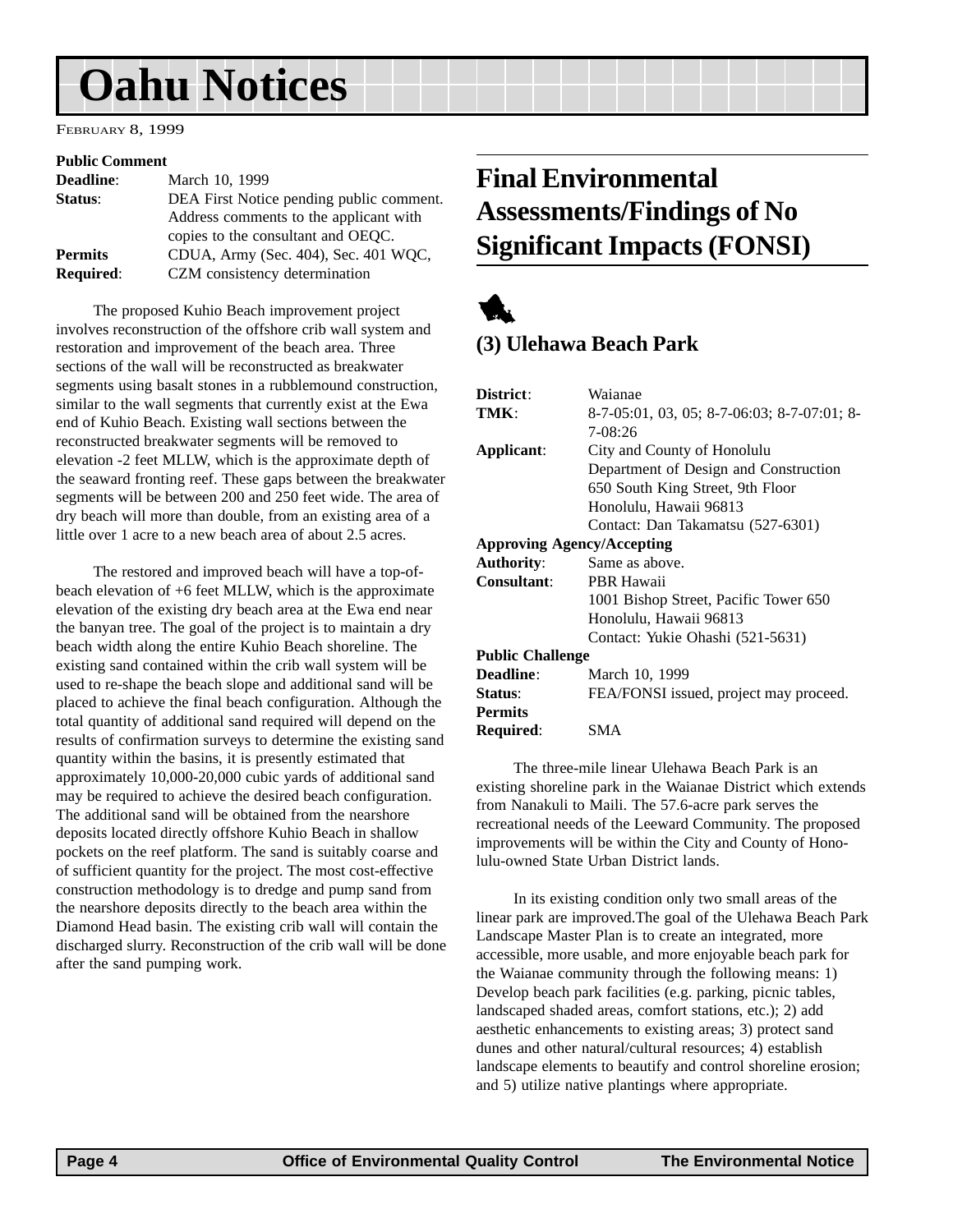# <span id="page-3-0"></span>**Oahu Notices**

FEBRUARY 8, 1999

#### **Public Comment**

| <b>Deadline:</b> | March 10, 1999                           |
|------------------|------------------------------------------|
| Status:          | DEA First Notice pending public comment. |
|                  | Address comments to the applicant with   |
|                  | copies to the consultant and OEQC.       |
| <b>Permits</b>   | CDUA, Army (Sec. 404), Sec. 401 WQC,     |
| <b>Required:</b> | CZM consistency determination            |

The proposed Kuhio Beach improvement project involves reconstruction of the offshore crib wall system and restoration and improvement of the beach area. Three sections of the wall will be reconstructed as breakwater segments using basalt stones in a rubblemound construction, similar to the wall segments that currently exist at the Ewa end of Kuhio Beach. Existing wall sections between the reconstructed breakwater segments will be removed to elevation -2 feet MLLW, which is the approximate depth of the seaward fronting reef. These gaps between the breakwater segments will be between 200 and 250 feet wide. The area of dry beach will more than double, from an existing area of a little over 1 acre to a new beach area of about 2.5 acres.

The restored and improved beach will have a top-ofbeach elevation of +6 feet MLLW, which is the approximate elevation of the existing dry beach area at the Ewa end near the banyan tree. The goal of the project is to maintain a dry beach width along the entire Kuhio Beach shoreline. The existing sand contained within the crib wall system will be used to re-shape the beach slope and additional sand will be placed to achieve the final beach configuration. Although the total quantity of additional sand required will depend on the results of confirmation surveys to determine the existing sand quantity within the basins, it is presently estimated that approximately 10,000-20,000 cubic yards of additional sand may be required to achieve the desired beach configuration. The additional sand will be obtained from the nearshore deposits located directly offshore Kuhio Beach in shallow pockets on the reef platform. The sand is suitably coarse and of sufficient quantity for the project. The most cost-effective construction methodology is to dredge and pump sand from the nearshore deposits directly to the beach area within the Diamond Head basin. The existing crib wall will contain the discharged slurry. Reconstruction of the crib wall will be done after the sand pumping work.

## **Final Environmental Assessments/Findings of No Significant Impacts (FONSI)**



## **(3) Ulehawa Beach Park**

| District:                         | Waianae                                     |
|-----------------------------------|---------------------------------------------|
| TMK:                              | 8-7-05:01, 03, 05; 8-7-06:03; 8-7-07:01; 8- |
|                                   | $7 - 08:26$                                 |
| Applicant:                        | City and County of Honolulu                 |
|                                   | Department of Design and Construction       |
|                                   | 650 South King Street, 9th Floor            |
|                                   | Honolulu, Hawaii 96813                      |
|                                   | Contact: Dan Takamatsu (527-6301)           |
| <b>Approving Agency/Accepting</b> |                                             |
| <b>Authority:</b>                 | Same as above.                              |
| Consultant:                       | PBR Hawaii                                  |
|                                   | 1001 Bishop Street, Pacific Tower 650       |
|                                   | Honolulu, Hawaii 96813                      |
|                                   | Contact: Yukie Ohashi (521-5631)            |
| <b>Public Challenge</b>           |                                             |
| Deadline:                         | March 10, 1999                              |
| Status:                           | FEA/FONSI issued, project may proceed.      |
| <b>Permits</b>                    |                                             |
| Required:                         | SMA                                         |
|                                   |                                             |

The three-mile linear Ulehawa Beach Park is an existing shoreline park in the Waianae District which extends from Nanakuli to Maili. The 57.6-acre park serves the recreational needs of the Leeward Community. The proposed improvements will be within the City and County of Honolulu-owned State Urban District lands.

In its existing condition only two small areas of the linear park are improved.The goal of the Ulehawa Beach Park Landscape Master Plan is to create an integrated, more accessible, more usable, and more enjoyable beach park for the Waianae community through the following means: 1) Develop beach park facilities (e.g. parking, picnic tables, landscaped shaded areas, comfort stations, etc.); 2) add aesthetic enhancements to existing areas; 3) protect sand dunes and other natural/cultural resources; 4) establish landscape elements to beautify and control shoreline erosion; and 5) utilize native plantings where appropriate.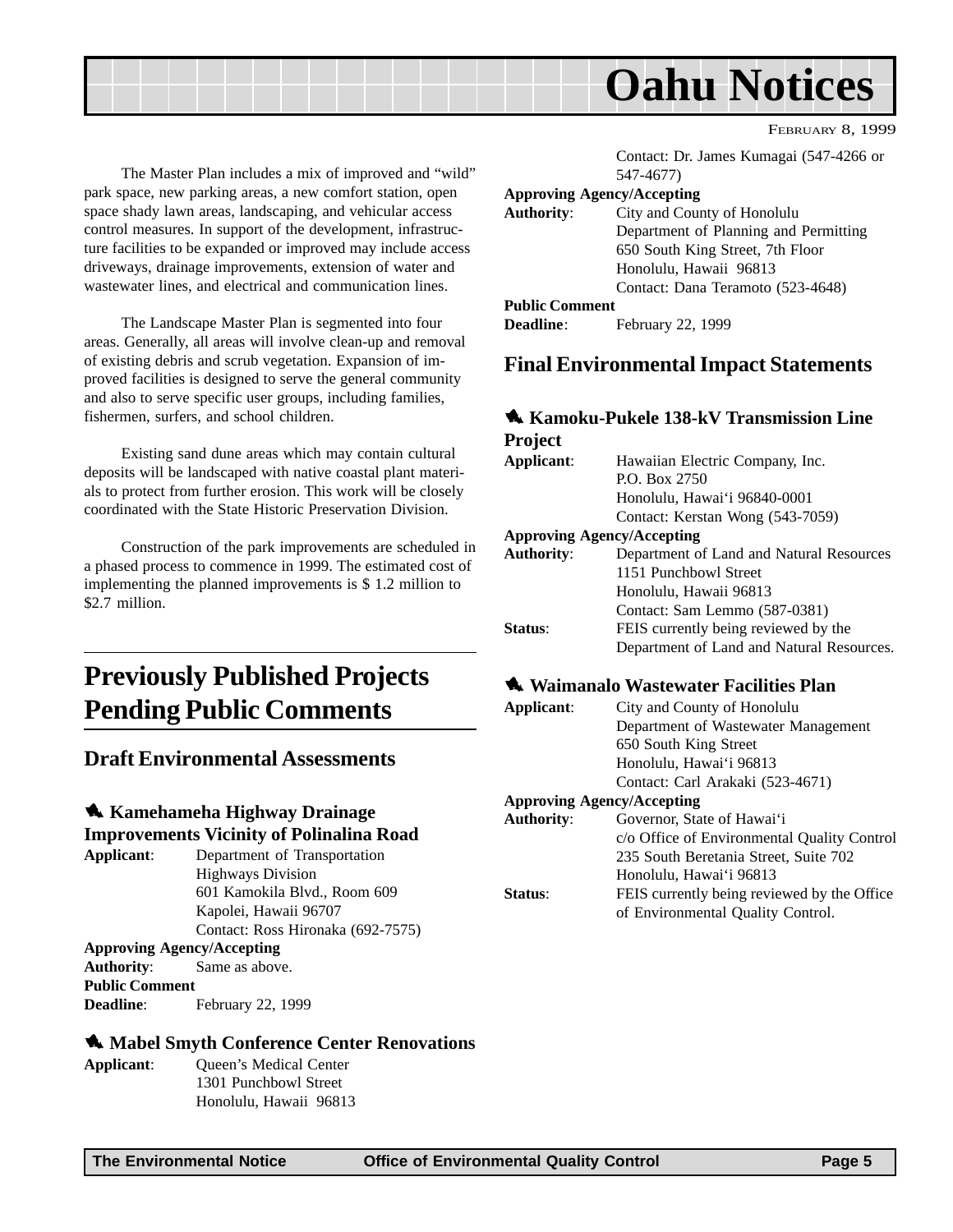<span id="page-4-0"></span>

The Master Plan includes a mix of improved and "wild" park space, new parking areas, a new comfort station, open space shady lawn areas, landscaping, and vehicular access control measures. In support of the development, infrastructure facilities to be expanded or improved may include access driveways, drainage improvements, extension of water and wastewater lines, and electrical and communication lines.

The Landscape Master Plan is segmented into four areas. Generally, all areas will involve clean-up and removal of existing debris and scrub vegetation. Expansion of improved facilities is designed to serve the general community and also to serve specific user groups, including families, fishermen, surfers, and school children.

Existing sand dune areas which may contain cultural deposits will be landscaped with native coastal plant materials to protect from further erosion. This work will be closely coordinated with the State Historic Preservation Division.

Construction of the park improvements are scheduled in a phased process to commence in 1999. The estimated cost of implementing the planned improvements is \$ 1.2 million to \$2.7 million.

## **Previously Published Projects Pending Public Comments**

## **Draft Environmental Assessments**

### 1 **Kamehameha Highway Drainage Improvements Vicinity of Polinalina Road**

**Applicant**: Department of Transportation Highways Division 601 Kamokila Blvd., Room 609 Kapolei, Hawaii 96707 Contact: Ross Hironaka (692-7575) **Approving Agency/Accepting Authority**: Same as above. **Public Comment** Deadline: February 22, 1999

### $\triangle$  **Mabel Smyth Conference Center Renovations**

**Applicant**: Queen's Medical Center 1301 Punchbowl Street Honolulu, Hawaii 96813 Contact: Dr. James Kumagai (547-4266 or 547-4677)

#### **Approving Agency/Accepting**

| <b>Authority:</b>     | City and County of Honolulu           |
|-----------------------|---------------------------------------|
|                       | Department of Planning and Permitting |
|                       | 650 South King Street, 7th Floor      |
|                       | Honolulu, Hawaii 96813                |
|                       | Contact: Dana Teramoto (523-4648)     |
| <b>Public Comment</b> |                                       |
| <b>Deadline:</b>      | February 22, 1999                     |
|                       |                                       |

## **Final Environmental Impact Statements**

### **138-kV Transmission Line**

#### **Project Applicant**: Hawaiian Electric Company, Inc. P.O. Box 2750 Honolulu, Hawai'i 96840-0001 Contact: Kerstan Wong (543-7059) **Approving Agency/Accepting Authority**: Department of Land and Natural Resources 1151 Punchbowl Street Honolulu, Hawaii 96813 Contact: Sam Lemmo (587-0381) **Status**: FEIS currently being reviewed by the Department of Land and Natural Resources.

### $\triangle$  Waimanalo Wastewater Facilities Plan

| Applicant:                        | City and County of Honolulu                 |  |
|-----------------------------------|---------------------------------------------|--|
|                                   | Department of Wastewater Management         |  |
|                                   | 650 South King Street                       |  |
|                                   | Honolulu, Hawai'i 96813                     |  |
|                                   | Contact: Carl Arakaki (523-4671)            |  |
| <b>Approving Agency/Accepting</b> |                                             |  |
| <b>Authority:</b>                 | Governor, State of Hawai'i                  |  |
|                                   | c/o Office of Environmental Quality Control |  |
|                                   | 235 South Beretania Street, Suite 702       |  |
|                                   | Honolulu, Hawai'i 96813                     |  |
| Status:                           | FEIS currently being reviewed by the Office |  |
|                                   | of Environmental Quality Control.           |  |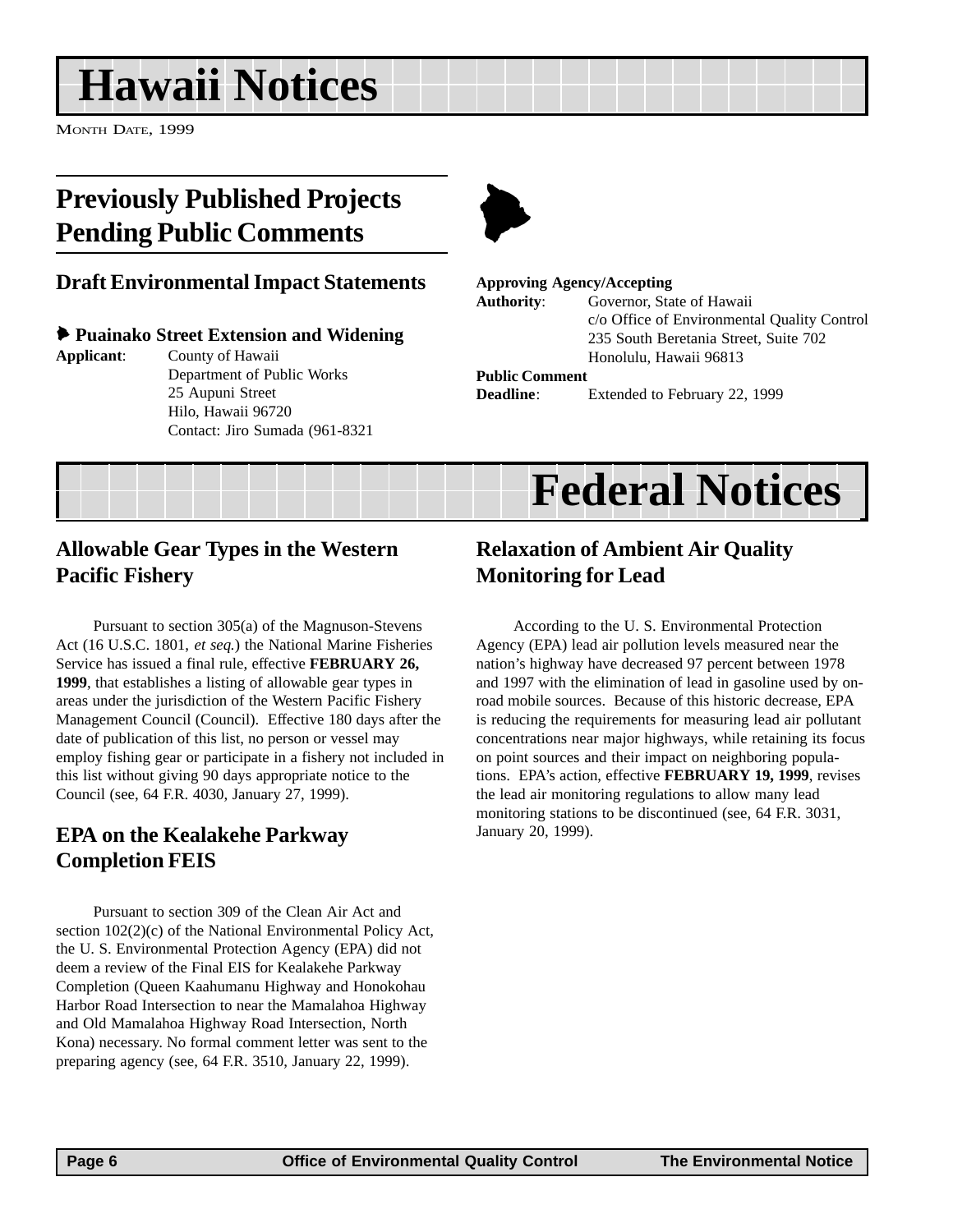# <span id="page-5-0"></span>**Hawaii Notices**

MONTH DATE, 1999

## **Previously Published Projects Pending Public Comments**

## **Draft Environmental Impact Statements**

### 6 **Puainako Street Extension and Widening**

**Applicant**: County of Hawaii

Department of Public Works 25 Aupuni Street Hilo, Hawaii 96720 Contact: Jiro Sumada (961-8321



#### **Approving Agency/Accepting**

**Authority**: Governor, State of Hawaii c/o Office of Environmental Quality Control 235 South Beretania Street, Suite 702 Honolulu, Hawaii 96813

#### **Public Comment**

**Deadline**: Extended to February 22, 1999



## **Allowable Gear Types in the Western Pacific Fishery**

Pursuant to section 305(a) of the Magnuson-Stevens Act (16 U.S.C. 1801, *et seq.*) the National Marine Fisheries Service has issued a final rule, effective **FEBRUARY 26, 1999**, that establishes a listing of allowable gear types in areas under the jurisdiction of the Western Pacific Fishery Management Council (Council). Effective 180 days after the date of publication of this list, no person or vessel may employ fishing gear or participate in a fishery not included in this list without giving 90 days appropriate notice to the Council (see, 64 F.R. 4030, January 27, 1999).

## **EPA on the Kealakehe Parkway Completion FEIS**

Pursuant to section 309 of the Clean Air Act and section 102(2)(c) of the National Environmental Policy Act, the U. S. Environmental Protection Agency (EPA) did not deem a review of the Final EIS for Kealakehe Parkway Completion (Queen Kaahumanu Highway and Honokohau Harbor Road Intersection to near the Mamalahoa Highway and Old Mamalahoa Highway Road Intersection, North Kona) necessary. No formal comment letter was sent to the preparing agency (see, 64 F.R. 3510, January 22, 1999).

## **Relaxation of Ambient Air Quality Monitoring for Lead**

According to the U. S. Environmental Protection Agency (EPA) lead air pollution levels measured near the nation's highway have decreased 97 percent between 1978 and 1997 with the elimination of lead in gasoline used by onroad mobile sources. Because of this historic decrease, EPA is reducing the requirements for measuring lead air pollutant concentrations near major highways, while retaining its focus on point sources and their impact on neighboring populations. EPA's action, effective **FEBRUARY 19, 1999**, revises the lead air monitoring regulations to allow many lead monitoring stations to be discontinued (see, 64 F.R. 3031, January 20, 1999).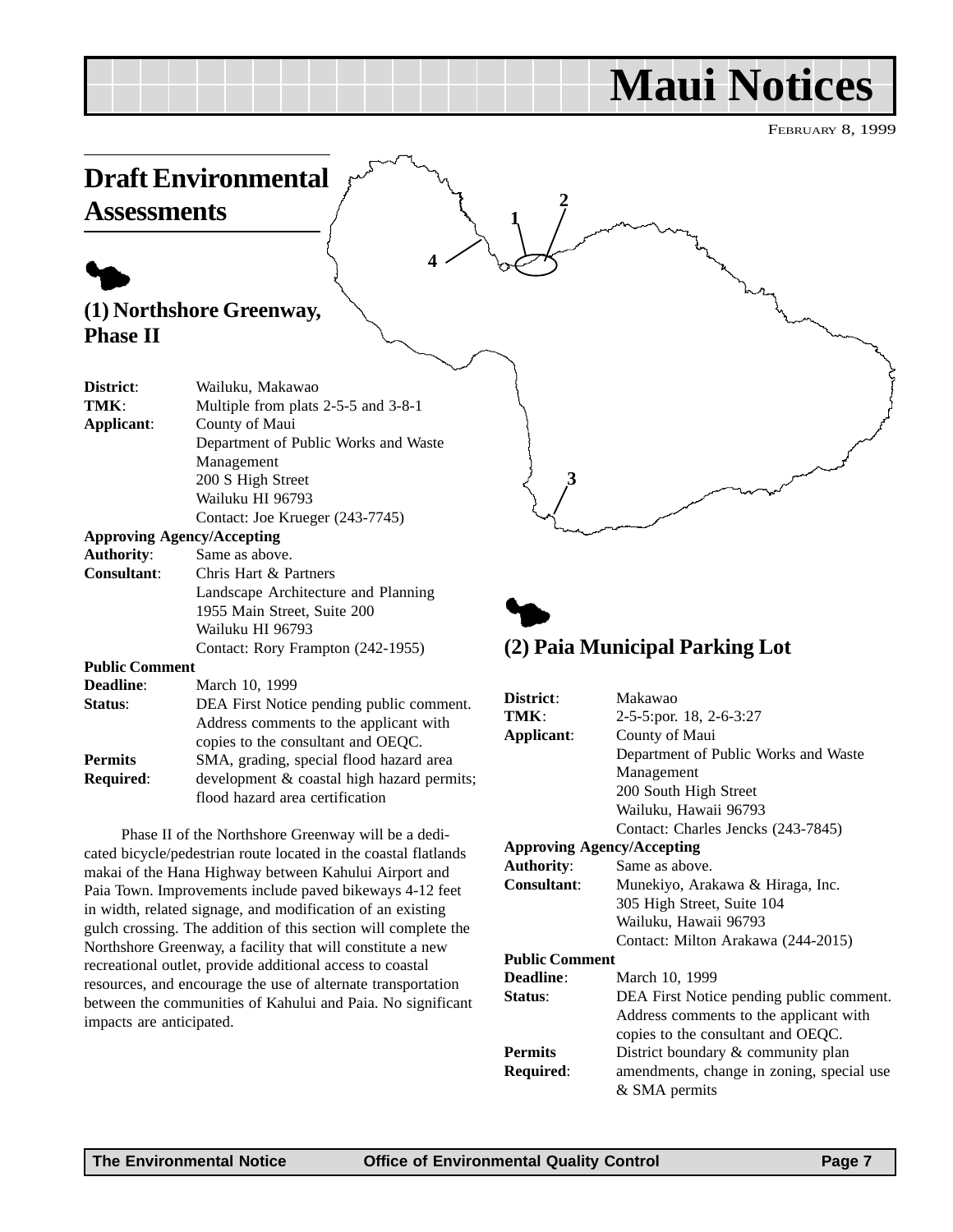## **Maui Notices**

FEBRUARY 8, 1999

<span id="page-6-0"></span>

Phase II of the Northshore Greenway will be a dedicated bicycle/pedestrian route located in the coastal flatlands makai of the Hana Highway between Kahului Airport and Paia Town. Improvements include paved bikeways 4-12 feet in width, related signage, and modification of an existing gulch crossing. The addition of this section will complete the Northshore Greenway, a facility that will constitute a new recreational outlet, provide additional access to coastal resources, and encourage the use of alternate transportation between the communities of Kahului and Paia. No significant impacts are anticipated.

#### **Approving Agency/Accepting Authority**: Same as above. **Consultant**: Munekiyo, Arakawa & Hiraga, Inc.

|                       | 305 High Street, Suite 104               |  |  |
|-----------------------|------------------------------------------|--|--|
|                       | Wailuku, Hawaii 96793                    |  |  |
|                       | Contact: Milton Arakawa (244-2015)       |  |  |
| <b>Public Comment</b> |                                          |  |  |
| <b>Deadline</b> :     | March 10, 1999                           |  |  |
| <b>Status:</b>        | DEA First Notice pending public comment. |  |  |
|                       | Address comments to the applicant with   |  |  |
|                       | copies to the consultant and OEQC.       |  |  |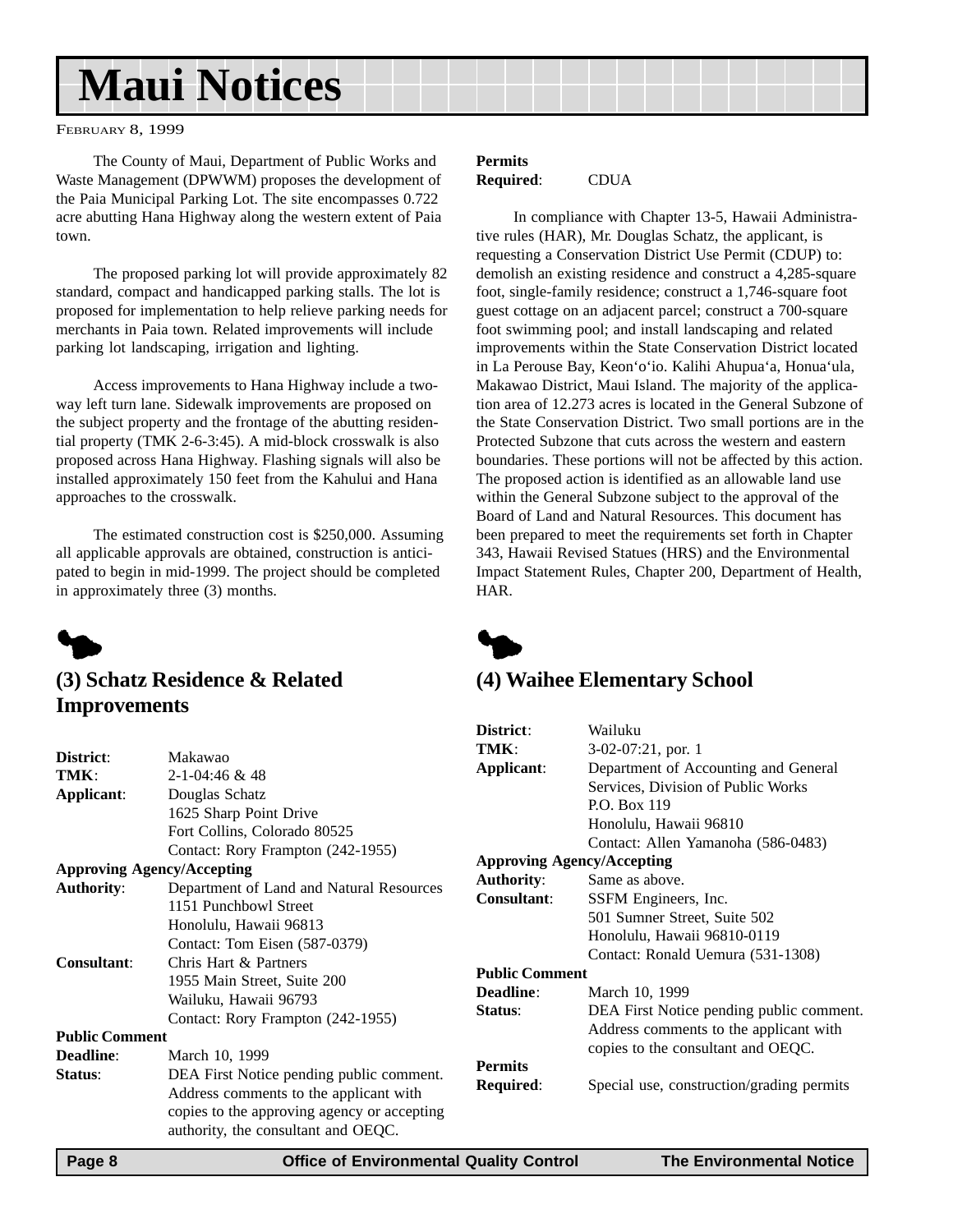# <span id="page-7-0"></span>**Maui Notices**

FEBRUARY 8, 1999

The County of Maui, Department of Public Works and Waste Management (DPWWM) proposes the development of the Paia Municipal Parking Lot. The site encompasses 0.722 acre abutting Hana Highway along the western extent of Paia town.

The proposed parking lot will provide approximately 82 standard, compact and handicapped parking stalls. The lot is proposed for implementation to help relieve parking needs for merchants in Paia town. Related improvements will include parking lot landscaping, irrigation and lighting.

Access improvements to Hana Highway include a twoway left turn lane. Sidewalk improvements are proposed on the subject property and the frontage of the abutting residential property (TMK 2-6-3:45). A mid-block crosswalk is also proposed across Hana Highway. Flashing signals will also be installed approximately 150 feet from the Kahului and Hana approaches to the crosswalk.

The estimated construction cost is \$250,000. Assuming all applicable approvals are obtained, construction is anticipated to begin in mid-1999. The project should be completed in approximately three (3) months.



## **(3) Schatz Residence & Related Improvements**

| District:                         | Makawao                                     |  |
|-----------------------------------|---------------------------------------------|--|
| TMK:                              | $2 - 1 - 04:46 & 48$                        |  |
| Applicant:                        | Douglas Schatz                              |  |
|                                   | 1625 Sharp Point Drive                      |  |
|                                   | Fort Collins, Colorado 80525                |  |
|                                   | Contact: Rory Frampton (242-1955)           |  |
| <b>Approving Agency/Accepting</b> |                                             |  |
| <b>Authority:</b>                 | Department of Land and Natural Resources    |  |
|                                   | 1151 Punchbowl Street                       |  |
|                                   | Honolulu, Hawaii 96813                      |  |
|                                   | Contact: Tom Eisen (587-0379)               |  |
| <b>Consultant:</b>                | Chris Hart & Partners                       |  |
|                                   | 1955 Main Street, Suite 200                 |  |
|                                   | Wailuku, Hawaii 96793                       |  |
|                                   | Contact: Rory Frampton (242-1955)           |  |
| <b>Public Comment</b>             |                                             |  |
| <b>Deadline:</b>                  | March 10, 1999                              |  |
| Status:                           | DEA First Notice pending public comment.    |  |
|                                   | Address comments to the applicant with      |  |
|                                   | copies to the approving agency or accepting |  |
|                                   | authority, the consultant and OEQC.         |  |

#### **Permits Required**: CDUA

In compliance with Chapter 13-5, Hawaii Administrative rules (HAR), Mr. Douglas Schatz, the applicant, is requesting a Conservation District Use Permit (CDUP) to: demolish an existing residence and construct a 4,285-square foot, single-family residence; construct a 1,746-square foot guest cottage on an adjacent parcel; construct a 700-square foot swimming pool; and install landscaping and related improvements within the State Conservation District located in La Perouse Bay, Keon'o'io. Kalihi Ahupua'a, Honua'ula, Makawao District, Maui Island. The majority of the application area of 12.273 acres is located in the General Subzone of the State Conservation District. Two small portions are in the Protected Subzone that cuts across the western and eastern boundaries. These portions will not be affected by this action. The proposed action is identified as an allowable land use within the General Subzone subject to the approval of the Board of Land and Natural Resources. This document has been prepared to meet the requirements set forth in Chapter 343, Hawaii Revised Statues (HRS) and the Environmental Impact Statement Rules, Chapter 200, Department of Health, HAR.



### **(4) Waihee Elementary School**

| District:                         | Wailuku                                   |  |
|-----------------------------------|-------------------------------------------|--|
| TMK:                              | 3-02-07:21, por. 1                        |  |
| Applicant:                        | Department of Accounting and General      |  |
|                                   | Services, Division of Public Works        |  |
|                                   | $PO$ Rox 119                              |  |
|                                   | Honolulu, Hawaii 96810                    |  |
|                                   | Contact: Allen Yamanoha (586-0483)        |  |
| <b>Approving Agency/Accepting</b> |                                           |  |
| <b>Authority:</b>                 | Same as above.                            |  |
| Consultant:                       | SSFM Engineers, Inc.                      |  |
|                                   | 501 Sumner Street, Suite 502              |  |
|                                   | Honolulu, Hawaii 96810-0119               |  |
|                                   | Contact: Ronald Uemura (531-1308)         |  |
| <b>Public Comment</b>             |                                           |  |
| Deadline:                         | March 10, 1999                            |  |
| Status:                           | DEA First Notice pending public comment.  |  |
|                                   | Address comments to the applicant with    |  |
|                                   | copies to the consultant and OEQC.        |  |
| <b>Permits</b>                    |                                           |  |
| Required:                         | Special use, construction/grading permits |  |
|                                   |                                           |  |
|                                   |                                           |  |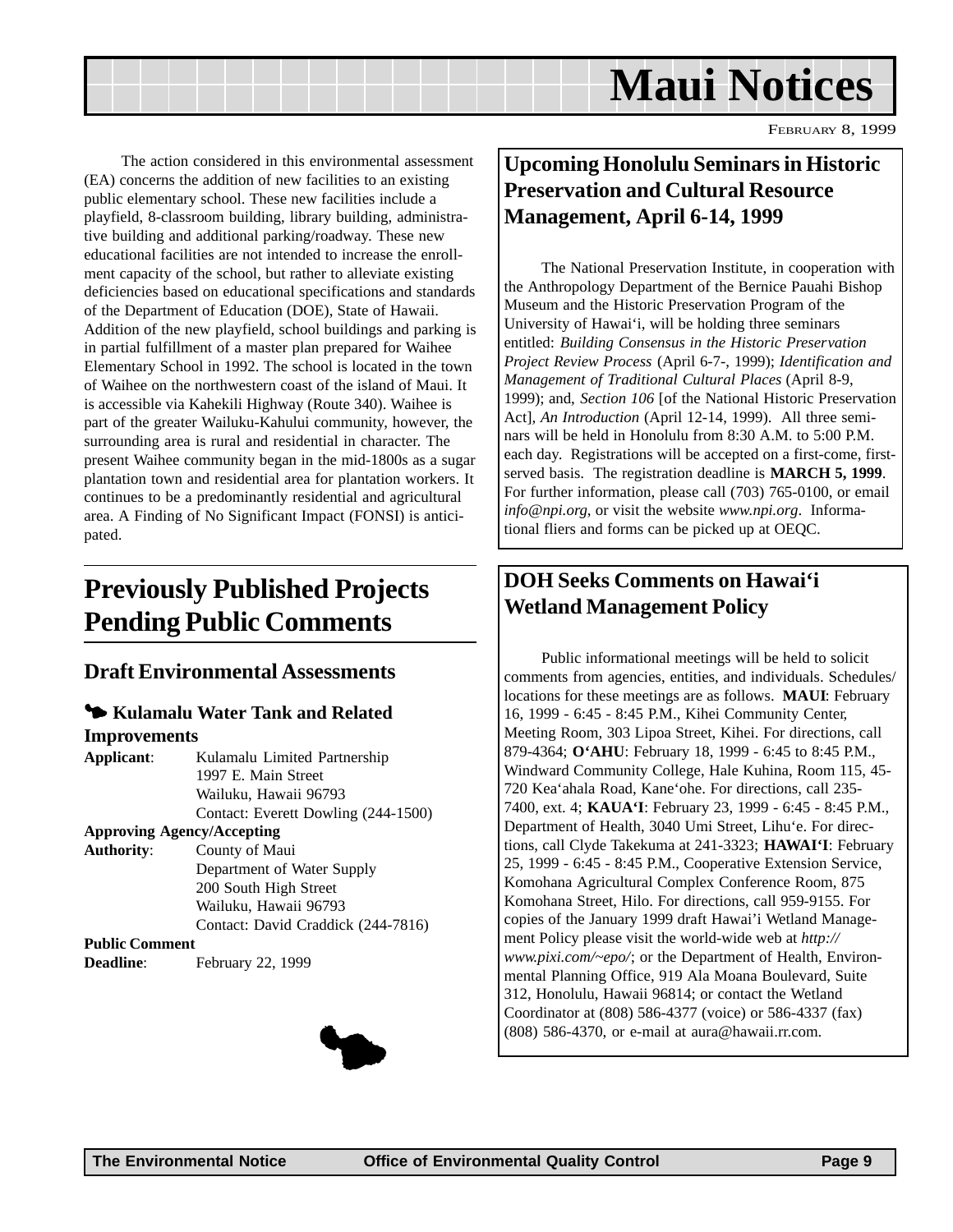

<span id="page-8-0"></span>The action considered in this environmental assessment (EA) concerns the addition of new facilities to an existing public elementary school. These new facilities include a playfield, 8-classroom building, library building, administrative building and additional parking/roadway. These new educational facilities are not intended to increase the enrollment capacity of the school, but rather to alleviate existing deficiencies based on educational specifications and standards of the Department of Education (DOE), State of Hawaii. Addition of the new playfield, school buildings and parking is in partial fulfillment of a master plan prepared for Waihee Elementary School in 1992. The school is located in the town of Waihee on the northwestern coast of the island of Maui. It is accessible via Kahekili Highway (Route 340). Waihee is part of the greater Wailuku-Kahului community, however, the surrounding area is rural and residential in character. The present Waihee community began in the mid-1800s as a sugar plantation town and residential area for plantation workers. It continues to be a predominantly residential and agricultural area. A Finding of No Significant Impact (FONSI) is anticipated.

## **Previously Published Projects Pending Public Comments**

### **Draft Environmental Assessments**

#### 3 **Kulamalu Water Tank and Related Improvements**

| Kulamalu Limited Partnership        |  |
|-------------------------------------|--|
| 1997 E. Main Street                 |  |
| Wailuku, Hawaii 96793               |  |
| Contact: Everett Dowling (244-1500) |  |
| <b>Approving Agency/Accepting</b>   |  |
| County of Maui                      |  |
| Department of Water Supply          |  |
| 200 South High Street               |  |
| Wailuku, Hawaii 96793               |  |
| Contact: David Craddick (244-7816)  |  |
|                                     |  |
| February 22, 1999                   |  |
|                                     |  |



## **Upcoming Honolulu Seminars in Historic Preservation and Cultural Resource Management, April 6-14, 1999**

The National Preservation Institute, in cooperation with the Anthropology Department of the Bernice Pauahi Bishop Museum and the Historic Preservation Program of the University of Hawai'i, will be holding three seminars entitled: *Building Consensus in the Historic Preservation Project Review Process* (April 6-7-, 1999); *Identification and Management of Traditional Cultural Places* (April 8-9, 1999); and, *Section 106* [of the National Historic Preservation Act]*, An Introduction* (April 12-14, 1999). All three seminars will be held in Honolulu from 8:30 A.M. to 5:00 P.M. each day. Registrations will be accepted on a first-come, firstserved basis. The registration deadline is **MARCH 5, 1999**. For further information, please call (703) 765-0100, or email *info@npi.org*, or visit the website *www.npi.org*. Informational fliers and forms can be picked up at OEQC.

## **DOH Seeks Comments on Hawai'i Wetland Management Policy**

Public informational meetings will be held to solicit comments from agencies, entities, and individuals. Schedules/ locations for these meetings are as follows. **MAUI**: February 16, 1999 - 6:45 - 8:45 P.M., Kihei Community Center, Meeting Room, 303 Lipoa Street, Kihei. For directions, call 879-4364; **O'AHU**: February 18, 1999 - 6:45 to 8:45 P.M., Windward Community College, Hale Kuhina, Room 115, 45- 720 Kea'ahala Road, Kane'ohe. For directions, call 235- 7400, ext. 4; **KAUA'I**: February 23, 1999 - 6:45 - 8:45 P.M., Department of Health, 3040 Umi Street, Lihu'e. For directions, call Clyde Takekuma at 241-3323; **HAWAI'I**: February 25, 1999 - 6:45 - 8:45 P.M., Cooperative Extension Service, Komohana Agricultural Complex Conference Room, 875 Komohana Street, Hilo. For directions, call 959-9155. For copies of the January 1999 draft Hawai'i Wetland Management Policy please visit the world-wide web at *http:// www.pixi.com/~epo/*; or the Department of Health, Environmental Planning Office, 919 Ala Moana Boulevard, Suite 312, Honolulu, Hawaii 96814; or contact the Wetland Coordinator at (808) 586-4377 (voice) or 586-4337 (fax) (808) 586-4370, or e-mail at aura@hawaii.rr.com.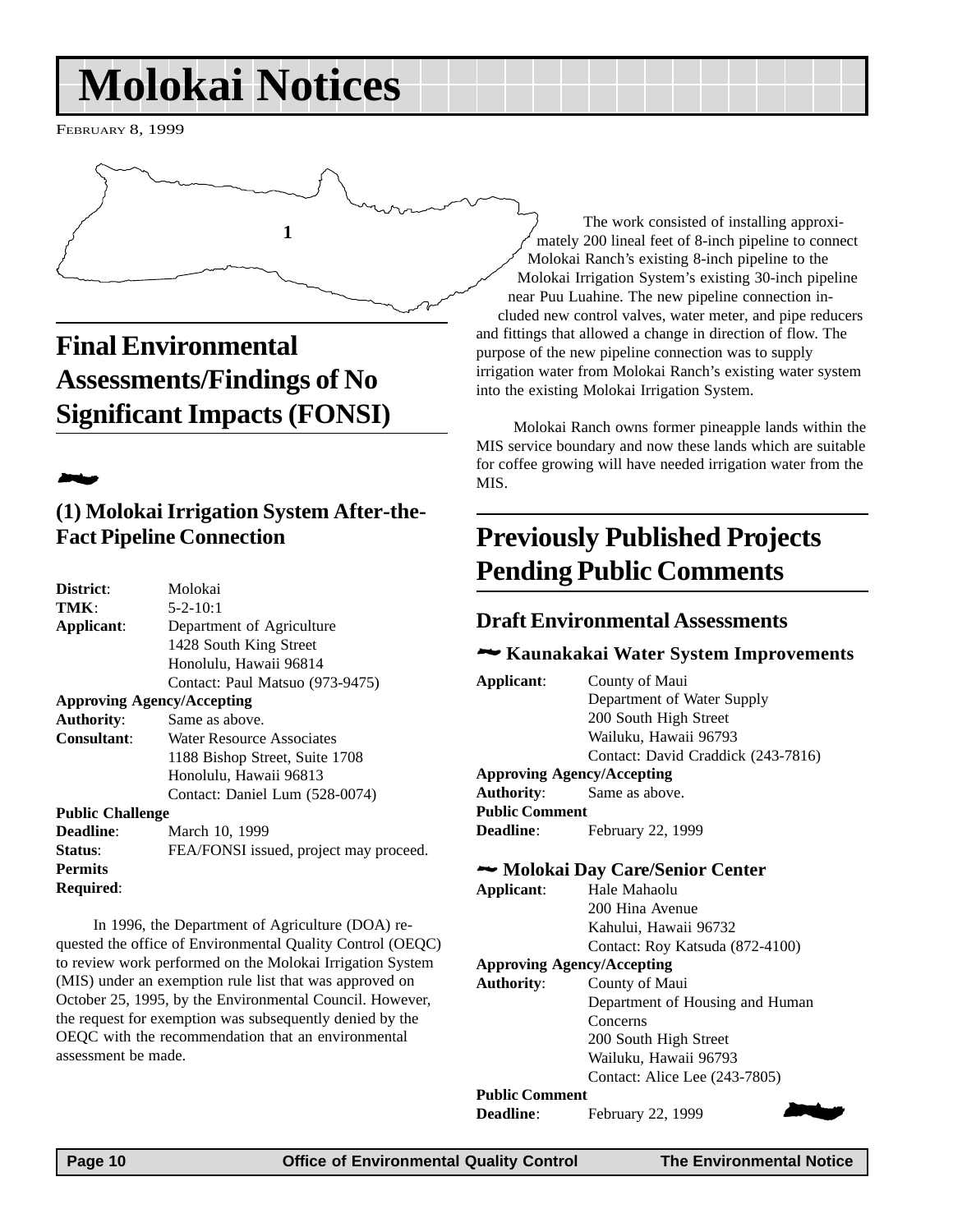# <span id="page-9-0"></span>**Molokai Notices**

FEBRUARY 8, 1999



**Final Environmental Assessments/Findings of No Significant Impacts (FONSI)**

## 2

## **(1) Molokai Irrigation System After-the-Fact Pipeline Connection**

| District:                         | Molokai                                |  |  |
|-----------------------------------|----------------------------------------|--|--|
| TMK:                              | $5 - 2 - 10:1$                         |  |  |
| Applicant:                        | Department of Agriculture              |  |  |
|                                   | 1428 South King Street                 |  |  |
|                                   | Honolulu, Hawaii 96814                 |  |  |
|                                   | Contact: Paul Matsuo (973-9475)        |  |  |
| <b>Approving Agency/Accepting</b> |                                        |  |  |
| <b>Authority:</b>                 | Same as above.                         |  |  |
| Consultant:                       | Water Resource Associates              |  |  |
|                                   | 1188 Bishop Street, Suite 1708         |  |  |
|                                   | Honolulu, Hawaii 96813                 |  |  |
|                                   | Contact: Daniel Lum (528-0074)         |  |  |
| <b>Public Challenge</b>           |                                        |  |  |
| Deadline:                         | March 10, 1999                         |  |  |
| Status:                           | FEA/FONSI issued, project may proceed. |  |  |
| <b>Permits</b>                    |                                        |  |  |
| Required:                         |                                        |  |  |
|                                   |                                        |  |  |

In 1996, the Department of Agriculture (DOA) requested the office of Environmental Quality Control (OEQC) to review work performed on the Molokai Irrigation System (MIS) under an exemption rule list that was approved on October 25, 1995, by the Environmental Council. However, the request for exemption was subsequently denied by the OEQC with the recommendation that an environmental assessment be made.

The work consisted of installing approximately 200 lineal feet of 8-inch pipeline to connect Molokai Ranch's existing 8-inch pipeline to the Molokai Irrigation System's existing 30-inch pipeline near Puu Luahine. The new pipeline connection included new control valves, water meter, and pipe reducers and fittings that allowed a change in direction of flow. The purpose of the new pipeline connection was to supply irrigation water from Molokai Ranch's existing water system into the existing Molokai Irrigation System.

Molokai Ranch owns former pineapple lands within the MIS service boundary and now these lands which are suitable for coffee growing will have needed irrigation water from the MIS.

## **Previously Published Projects Pending Public Comments**

### **Draft Environmental Assessments**

### 2 **Kaunakakai Water System Improvements**

| Applicant:                        | County of Maui                     |  |  |
|-----------------------------------|------------------------------------|--|--|
|                                   | Department of Water Supply         |  |  |
|                                   | 200 South High Street              |  |  |
|                                   | Wailuku, Hawaii 96793              |  |  |
|                                   | Contact: David Craddick (243-7816) |  |  |
| <b>Approving Agency/Accepting</b> |                                    |  |  |
|                                   | <b>Authority:</b> Same as above.   |  |  |
| <b>Public Comment</b>             |                                    |  |  |
| <b>Deadline:</b>                  | February 22, 1999                  |  |  |
|                                   |                                    |  |  |

#### 2 **Molokai Day Care/Senior Center**

| Applicant: | Hale Mahaolu                    |  |
|------------|---------------------------------|--|
|            | 200 Hina Avenue                 |  |
|            | Kahului, Hawaii 96732           |  |
|            | Contact: Roy Katsuda (872-4100) |  |
|            |                                 |  |

#### **Approving Agency/Accepting Authority**: County of Maui Department of Housing and Human **Concerns** 200 South High Street Wailuku, Hawaii 96793 Contact: Alice Lee (243-7805)

## **Public Comment**

**Public Comment**<br>**Deadline**: February 22, 1999

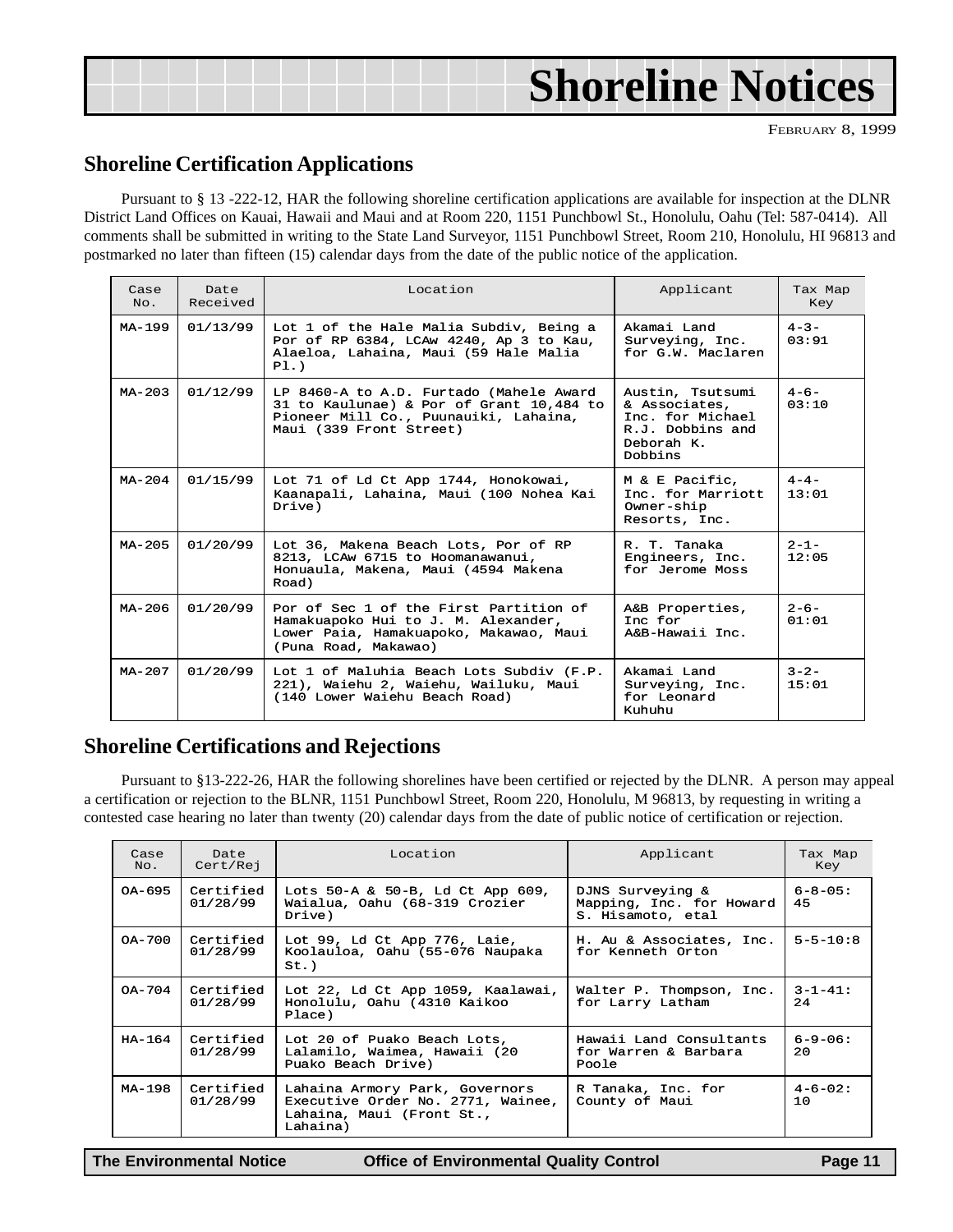<span id="page-10-0"></span>

## **Shoreline Certification Applications**

Pursuant to § 13 -222-12, HAR the following shoreline certification applications are available for inspection at the DLNR District Land Offices on Kauai, Hawaii and Maui and at Room 220, 1151 Punchbowl St., Honolulu, Oahu (Tel: 587-0414). All comments shall be submitted in writing to the State Land Surveyor, 1151 Punchbowl Street, Room 210, Honolulu, HI 96813 and postmarked no later than fifteen (15) calendar days from the date of the public notice of the application.

| Case<br>No. | Date<br>Received | Location                                                                                                                                                | Applicant                                                                                          | Tax Map<br>Key      |
|-------------|------------------|---------------------------------------------------------------------------------------------------------------------------------------------------------|----------------------------------------------------------------------------------------------------|---------------------|
| MA-199      | 01/13/99         | Lot 1 of the Hale Malia Subdiv, Being a<br>Por of RP 6384, LCAw 4240, Ap 3 to Kau,<br>Alaeloa, Lahaina, Maui (59 Hale Malia<br>P1.                      | Akamai Land<br>Surveying, Inc.<br>for G.W. Maclaren                                                | $4 - 3 -$<br>03:91  |
| $MA-203$    | 01/12/99         | LP 8460-A to A.D. Furtado (Mahele Award<br>31 to Kaulunae) & Por of Grant 10,484 to<br>Pioneer Mill Co., Puunauiki, Lahaina,<br>Maui (339 Front Street) | Austin, Tsutsumi<br>& Associates,<br>Inc. for Michael<br>R.J. Dobbins and<br>Deborah K.<br>Dobbins | $4 - 6 -$<br>0.3:10 |
| $MA - 204$  | 01/15/99         | Lot 71 of Ld Ct App 1744, Honokowai,<br>Kaanapali, Lahaina, Maui (100 Nohea Kai<br>Drive)                                                               | M & E Pacific,<br>Inc. for Marriott<br>Owner-ship<br>Resorts, Inc.                                 | $4 - 4 -$<br>13:01  |
| $MA - 205$  | 01/20/99         | Lot 36, Makena Beach Lots, Por of RP<br>8213, LCAw 6715 to Hoomanawanui,<br>Honuaula, Makena, Maui (4594 Makena<br>Road)                                | R. T. Tanaka<br>Engineers, Inc.<br>for Jerome Moss                                                 | $2 - 1 -$<br>12:05  |
| $MA-206$    | 01/20/99         | Por of Sec 1 of the First Partition of<br>Hamakuapoko Hui to J. M. Alexander,<br>Lower Paia, Hamakuapoko, Makawao, Maui<br>(Puna Road, Makawao)         | A&B Properties,<br>Inc for<br>A&B-Hawaii Inc.                                                      | $2 - 6 -$<br>01:01  |
| $MA - 207$  | 01/20/99         | Lot 1 of Maluhia Beach Lots Subdiv (F.P.<br>221), Waiehu 2, Waiehu, Wailuku, Maui<br>(140 Lower Waiehu Beach Road)                                      | Akamai Land<br>Surveying, Inc.<br>for Leonard<br>Kuhuhu                                            | $3 - 2 -$<br>15:01  |

## **Shoreline Certifications and Rejections**

Pursuant to §13-222-26, HAR the following shorelines have been certified or rejected by the DLNR. A person may appeal a certification or rejection to the BLNR, 1151 Punchbowl Street, Room 220, Honolulu, M 96813, by requesting in writing a contested case hearing no later than twenty (20) calendar days from the date of public notice of certification or rejection.

| Case<br>No. | Date<br>Cert/Rej      | Location                                                                                                     | Applicant                                                         | Tax Map<br>Key       |
|-------------|-----------------------|--------------------------------------------------------------------------------------------------------------|-------------------------------------------------------------------|----------------------|
| OA-695      | Certified<br>01/28/99 | Lots $50-A & 50-B$ , Ld Ct App $609$ ,<br>Waialua, Oahu (68-319 Crozier<br>Drive)                            | DJNS Surveying &<br>Mapping, Inc. for Howard<br>S. Hisamoto, etal | $6 - 8 - 05$ :<br>45 |
| OA-700      | Certified<br>01/28/99 | Lot 99, Ld Ct App 776, Laie,<br>Koolauloa, Oahu (55-076 Naupaka<br>$St.$ )                                   | H. Au & Associates, Inc.<br>for Kenneth Orton                     | $5 - 5 - 10:8$       |
| OA-704      | Certified<br>01/28/99 | Lot 22, Ld Ct App 1059, Kaalawai,<br>Honolulu, Oahu (4310 Kaikoo<br>Place)                                   | Walter P. Thompson, Inc.<br>for Larry Latham                      | $3 - 1 - 41$ :<br>24 |
| HA-164      | Certified<br>01/28/99 | Lot 20 of Puako Beach Lots,<br>Lalamilo, Waimea, Hawaii (20<br>Puako Beach Drive)                            | Hawaii Land Consultants<br>for Warren & Barbara<br>Poole          | $6 - 9 - 06$ :<br>20 |
| MA-198      | Certified<br>01/28/99 | Lahaina Armory Park, Governors<br>Executive Order No. 2771, Wainee,<br>Lahaina, Maui (Front St.,<br>Lahaina) | R Tanaka, Inc. for<br>County of Maui                              | $4 - 6 - 02$ :<br>10 |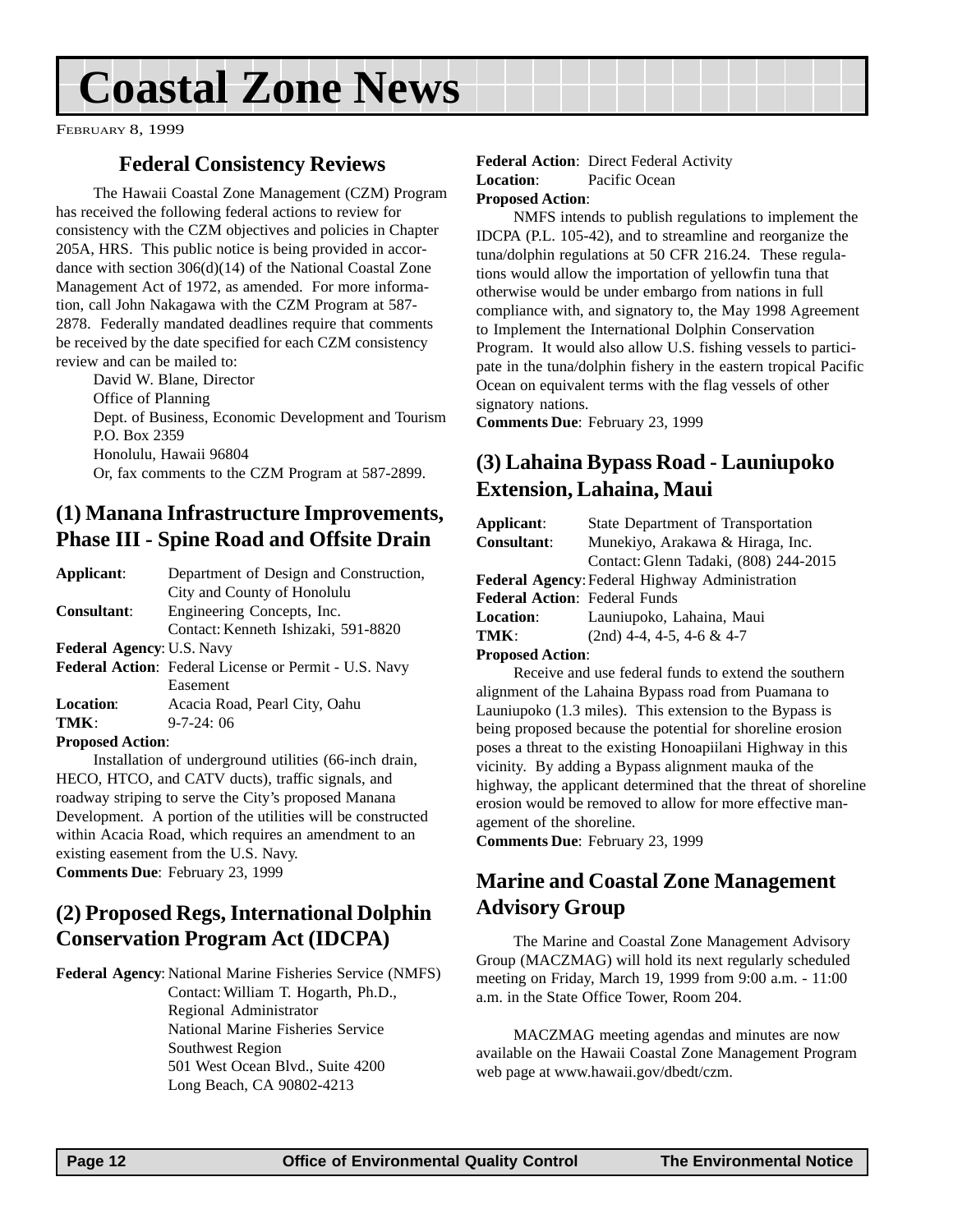# **Coastal Zone News**

FEBRUARY 8, 1999

## **Federal Consistency Reviews**

The Hawaii Coastal Zone Management (CZM) Program has received the following federal actions to review for consistency with the CZM objectives and policies in Chapter 205A, HRS. This public notice is being provided in accordance with section 306(d)(14) of the National Coastal Zone Management Act of 1972, as amended. For more information, call John Nakagawa with the CZM Program at 587- 2878. Federally mandated deadlines require that comments be received by the date specified for each CZM consistency review and can be mailed to:

David W. Blane, Director Office of Planning Dept. of Business, Economic Development and Tourism P.O. Box 2359 Honolulu, Hawaii 96804 Or, fax comments to the CZM Program at 587-2899.

## **(1) Manana Infrastructure Improvements, Phase III - Spine Road and Offsite Drain**

| Applicant:                                 | Department of Design and Construction,                |
|--------------------------------------------|-------------------------------------------------------|
|                                            | City and County of Honolulu                           |
| <b>Consultant:</b>                         | Engineering Concepts, Inc.                            |
|                                            | Contact: Kenneth Ishizaki, 591-8820                   |
| <b>Federal Agency: U.S. Navy</b>           |                                                       |
|                                            | Federal Action: Federal License or Permit - U.S. Navy |
|                                            | Easement                                              |
| <b>Location:</b>                           | Acacia Road, Pearl City, Oahu                         |
| TMK:                                       | $9 - 7 - 24$ ; 06                                     |
| $\mathbf{n}$ , $\mathbf{n}$ , $\mathbf{n}$ |                                                       |

#### **Proposed Action**:

Installation of underground utilities (66-inch drain, HECO, HTCO, and CATV ducts), traffic signals, and roadway striping to serve the City's proposed Manana Development. A portion of the utilities will be constructed within Acacia Road, which requires an amendment to an existing easement from the U.S. Navy. **Comments Due**: February 23, 1999

## **(2) Proposed Regs, International Dolphin Conservation Program Act (IDCPA)**

**Federal Agency**: National Marine Fisheries Service (NMFS) Contact: William T. Hogarth, Ph.D., Regional Administrator National Marine Fisheries Service Southwest Region 501 West Ocean Blvd., Suite 4200

Long Beach, CA 90802-4213

**Federal Action**: Direct Federal Activity **Location**: Pacific Ocean **Proposed Action**:

NMFS intends to publish regulations to implement the IDCPA (P.L. 105-42), and to streamline and reorganize the tuna/dolphin regulations at 50 CFR 216.24. These regulations would allow the importation of yellowfin tuna that otherwise would be under embargo from nations in full compliance with, and signatory to, the May 1998 Agreement to Implement the International Dolphin Conservation Program. It would also allow U.S. fishing vessels to participate in the tuna/dolphin fishery in the eastern tropical Pacific Ocean on equivalent terms with the flag vessels of other signatory nations.

**Comments Due**: February 23, 1999

## **(3) Lahaina Bypass Road - Launiupoko Extension, Lahaina, Maui**

| Applicant:                           | State Department of Transportation             |
|--------------------------------------|------------------------------------------------|
| <b>Consultant:</b>                   | Munekiyo, Arakawa & Hiraga, Inc.               |
|                                      | Contact: Glenn Tadaki, (808) 244-2015          |
|                                      | Federal Agency: Federal Highway Administration |
| <b>Federal Action: Federal Funds</b> |                                                |
| <b>Location:</b>                     | Launiupoko, Lahaina, Maui                      |
| TMK:                                 | $(2nd)$ 4-4, 4-5, 4-6 & 4-7                    |

#### **Proposed Action**:

Receive and use federal funds to extend the southern alignment of the Lahaina Bypass road from Puamana to Launiupoko (1.3 miles). This extension to the Bypass is being proposed because the potential for shoreline erosion poses a threat to the existing Honoapiilani Highway in this vicinity. By adding a Bypass alignment mauka of the highway, the applicant determined that the threat of shoreline erosion would be removed to allow for more effective management of the shoreline.

**Comments Due**: February 23, 1999

## **Marine and Coastal Zone Management Advisory Group**

The Marine and Coastal Zone Management Advisory Group (MACZMAG) will hold its next regularly scheduled meeting on Friday, March 19, 1999 from 9:00 a.m. - 11:00 a.m. in the State Office Tower, Room 204.

MACZMAG meeting agendas and minutes are now available on the Hawaii Coastal Zone Management Program web page at www.hawaii.gov/dbedt/czm.